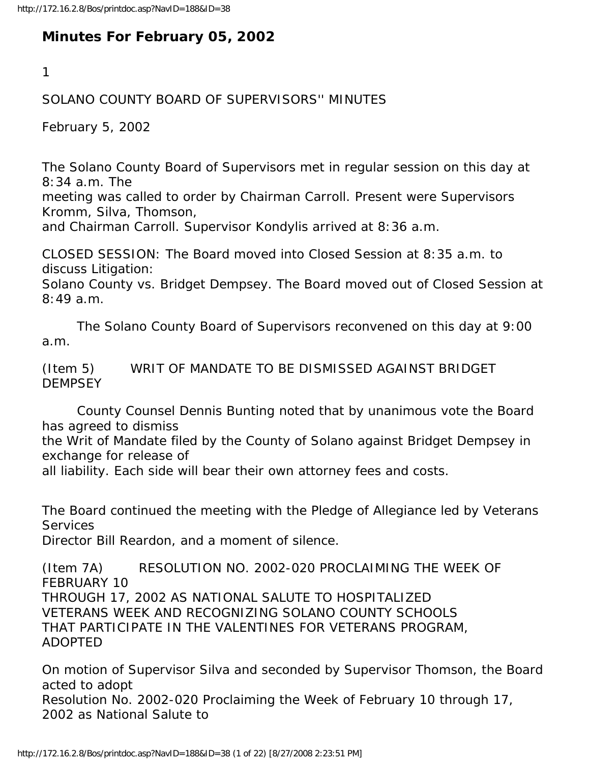## **Minutes For February 05, 2002**

1

## SOLANO COUNTY BOARD OF SUPERVISORS'' MINUTES

February 5, 2002

The Solano County Board of Supervisors met in regular session on this day at 8:34 a.m. The

meeting was called to order by Chairman Carroll. Present were Supervisors Kromm, Silva, Thomson,

and Chairman Carroll. Supervisor Kondylis arrived at 8:36 a.m.

CLOSED SESSION: The Board moved into Closed Session at 8:35 a.m. to discuss Litigation:

Solano County vs. Bridget Dempsey. The Board moved out of Closed Session at 8:49 a.m.

 The Solano County Board of Supervisors reconvened on this day at 9:00 a.m.

(Item 5) WRIT OF MANDATE TO BE DISMISSED AGAINST BRIDGET **DEMPSEY** 

 County Counsel Dennis Bunting noted that by unanimous vote the Board has agreed to dismiss

the Writ of Mandate filed by the County of Solano against Bridget Dempsey in exchange for release of

all liability. Each side will bear their own attorney fees and costs.

The Board continued the meeting with the Pledge of Allegiance led by Veterans **Services** 

Director Bill Reardon, and a moment of silence.

(Item 7A) RESOLUTION NO. 2002-020 PROCLAIMING THE WEEK OF FEBRUARY 10 THROUGH 17, 2002 AS NATIONAL SALUTE TO HOSPITALIZED VETERANS WEEK AND RECOGNIZING SOLANO COUNTY SCHOOLS THAT PARTICIPATE IN THE VALENTINES FOR VETERANS PROGRAM, ADOPTED

On motion of Supervisor Silva and seconded by Supervisor Thomson, the Board acted to adopt Resolution No. 2002-020 Proclaiming the Week of February 10 through 17, 2002 as National Salute to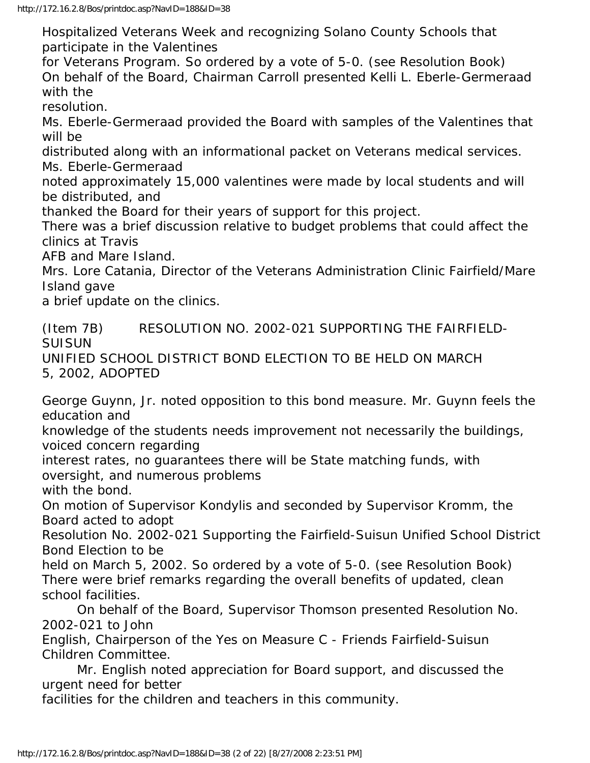http://172.16.2.8/Bos/printdoc.asp?NavID=188&ID=38

Hospitalized Veterans Week and recognizing Solano County Schools that participate in the Valentines

for Veterans Program. So ordered by a vote of 5-0. (see Resolution Book) On behalf of the Board, Chairman Carroll presented Kelli L. Eberle-Germeraad with the

resolution.

Ms. Eberle-Germeraad provided the Board with samples of the Valentines that will be

distributed along with an informational packet on Veterans medical services. Ms. Eberle-Germeraad

noted approximately 15,000 valentines were made by local students and will be distributed, and

thanked the Board for their years of support for this project.

There was a brief discussion relative to budget problems that could affect the clinics at Travis

AFB and Mare Island.

Mrs. Lore Catania, Director of the Veterans Administration Clinic Fairfield/Mare Island gave

a brief update on the clinics.

(Item 7B) RESOLUTION NO. 2002-021 SUPPORTING THE FAIRFIELD-**SUISUN** 

UNIFIED SCHOOL DISTRICT BOND ELECTION TO BE HELD ON MARCH 5, 2002, ADOPTED

George Guynn, Jr. noted opposition to this bond measure. Mr. Guynn feels the education and

knowledge of the students needs improvement not necessarily the buildings, voiced concern regarding

interest rates, no guarantees there will be State matching funds, with oversight, and numerous problems

with the bond.

On motion of Supervisor Kondylis and seconded by Supervisor Kromm, the Board acted to adopt

Resolution No. 2002-021 Supporting the Fairfield-Suisun Unified School District Bond Election to be

held on March 5, 2002. So ordered by a vote of 5-0. (see Resolution Book) There were brief remarks regarding the overall benefits of updated, clean school facilities.

 On behalf of the Board, Supervisor Thomson presented Resolution No. 2002-021 to John

English, Chairperson of the Yes on Measure C - Friends Fairfield-Suisun Children Committee.

 Mr. English noted appreciation for Board support, and discussed the urgent need for better

facilities for the children and teachers in this community.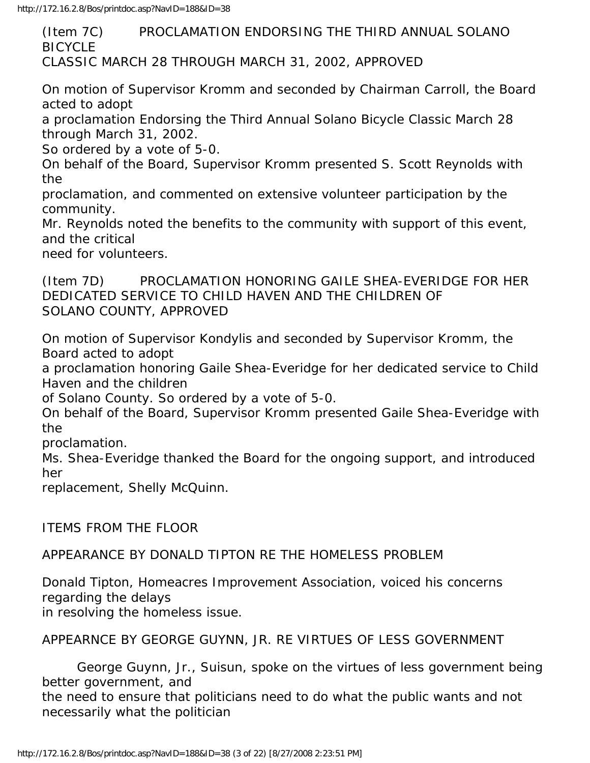(Item 7C) PROCLAMATION ENDORSING THE THIRD ANNUAL SOLANO **BICYCLE** CLASSIC MARCH 28 THROUGH MARCH 31, 2002, APPROVED

On motion of Supervisor Kromm and seconded by Chairman Carroll, the Board acted to adopt

a proclamation Endorsing the Third Annual Solano Bicycle Classic March 28 through March 31, 2002.

So ordered by a vote of 5-0.

On behalf of the Board, Supervisor Kromm presented S. Scott Reynolds with the

proclamation, and commented on extensive volunteer participation by the community.

Mr. Reynolds noted the benefits to the community with support of this event, and the critical

need for volunteers.

(Item 7D) PROCLAMATION HONORING GAILE SHEA-EVERIDGE FOR HER DEDICATED SERVICE TO CHILD HAVEN AND THE CHILDREN OF SOLANO COUNTY, APPROVED

On motion of Supervisor Kondylis and seconded by Supervisor Kromm, the Board acted to adopt

a proclamation honoring Gaile Shea-Everidge for her dedicated service to Child Haven and the children

of Solano County. So ordered by a vote of 5-0.

On behalf of the Board, Supervisor Kromm presented Gaile Shea-Everidge with the

proclamation.

Ms. Shea-Everidge thanked the Board for the ongoing support, and introduced her

replacement, Shelly McQuinn.

ITEMS FROM THE FLOOR

APPEARANCE BY DONALD TIPTON RE THE HOMELESS PROBLEM

Donald Tipton, Homeacres Improvement Association, voiced his concerns regarding the delays in resolving the homeless issue.

APPEARNCE BY GEORGE GUYNN, JR. RE VIRTUES OF LESS GOVERNMENT

 George Guynn, Jr., Suisun, spoke on the virtues of less government being better government, and

the need to ensure that politicians need to do what the public wants and not necessarily what the politician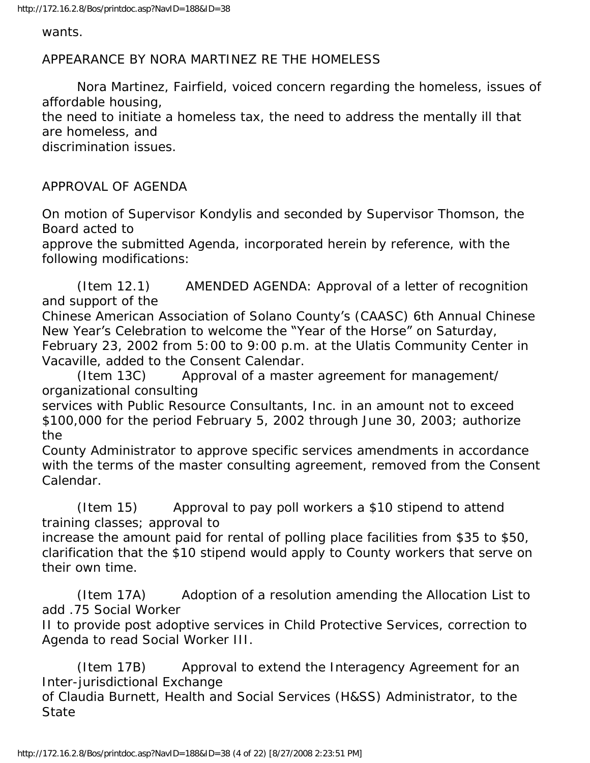wants.

APPEARANCE BY NORA MARTINEZ RE THE HOMELESS

 Nora Martinez, Fairfield, voiced concern regarding the homeless, issues of affordable housing, the need to initiate a homeless tax, the need to address the mentally ill that are homeless, and discrimination issues.

APPROVAL OF AGENDA

On motion of Supervisor Kondylis and seconded by Supervisor Thomson, the Board acted to

approve the submitted Agenda, incorporated herein by reference, with the following modifications:

 (Item 12.1) AMENDED AGENDA: Approval of a letter of recognition and support of the

Chinese American Association of Solano County's (CAASC) 6th Annual Chinese New Year's Celebration to welcome the "Year of the Horse" on Saturday, February 23, 2002 from 5:00 to 9:00 p.m. at the Ulatis Community Center in Vacaville, added to the Consent Calendar.

 (Item 13C) Approval of a master agreement for management/ organizational consulting

services with Public Resource Consultants, Inc. in an amount not to exceed \$100,000 for the period February 5, 2002 through June 30, 2003; authorize the

County Administrator to approve specific services amendments in accordance with the terms of the master consulting agreement, removed from the Consent Calendar.

 (Item 15) Approval to pay poll workers a \$10 stipend to attend training classes; approval to

increase the amount paid for rental of polling place facilities from \$35 to \$50, clarification that the \$10 stipend would apply to County workers that serve on their own time.

 (Item 17A) Adoption of a resolution amending the Allocation List to add .75 Social Worker

II to provide post adoptive services in Child Protective Services, correction to Agenda to read Social Worker III.

 (Item 17B) Approval to extend the Interagency Agreement for an Inter-jurisdictional Exchange

of Claudia Burnett, Health and Social Services (H&SS) Administrator, to the **State**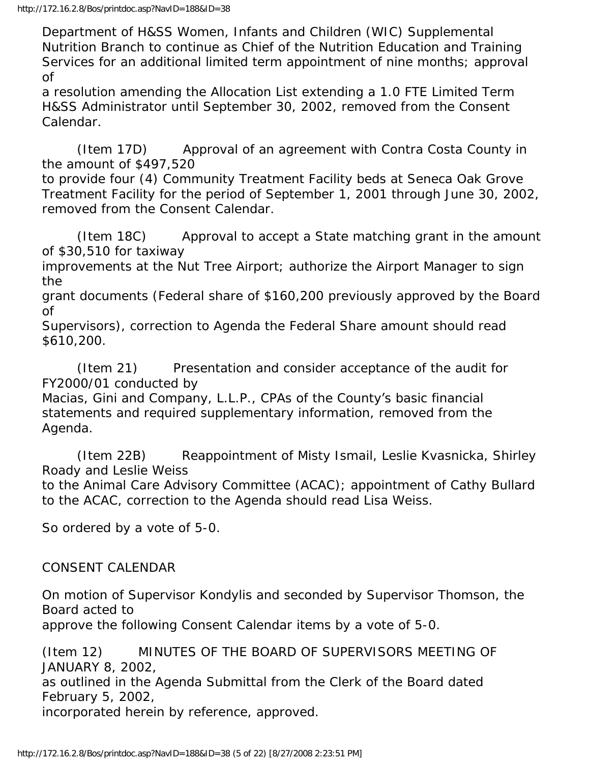Department of H&SS Women, Infants and Children (WIC) Supplemental Nutrition Branch to continue as Chief of the Nutrition Education and Training Services for an additional limited term appointment of nine months; approval of

a resolution amending the Allocation List extending a 1.0 FTE Limited Term H&SS Administrator until September 30, 2002, removed from the Consent Calendar.

 (Item 17D) Approval of an agreement with Contra Costa County in the amount of \$497,520

to provide four (4) Community Treatment Facility beds at Seneca Oak Grove Treatment Facility for the period of September 1, 2001 through June 30, 2002, removed from the Consent Calendar.

 (Item 18C) Approval to accept a State matching grant in the amount of \$30,510 for taxiway

improvements at the Nut Tree Airport; authorize the Airport Manager to sign the

grant documents (Federal share of \$160,200 previously approved by the Board of

Supervisors), correction to Agenda the Federal Share amount should read \$610,200.

 (Item 21) Presentation and consider acceptance of the audit for FY2000/01 conducted by

Macias, Gini and Company, L.L.P., CPAs of the County's basic financial statements and required supplementary information, removed from the Agenda.

 (Item 22B) Reappointment of Misty Ismail, Leslie Kvasnicka, Shirley Roady and Leslie Weiss

to the Animal Care Advisory Committee (ACAC); appointment of Cathy Bullard to the ACAC, correction to the Agenda should read Lisa Weiss.

So ordered by a vote of 5-0.

## CONSENT CALENDAR

On motion of Supervisor Kondylis and seconded by Supervisor Thomson, the Board acted to

approve the following Consent Calendar items by a vote of 5-0.

(Item 12) MINUTES OF THE BOARD OF SUPERVISORS MEETING OF JANUARY 8, 2002,

as outlined in the Agenda Submittal from the Clerk of the Board dated February 5, 2002,

incorporated herein by reference, approved.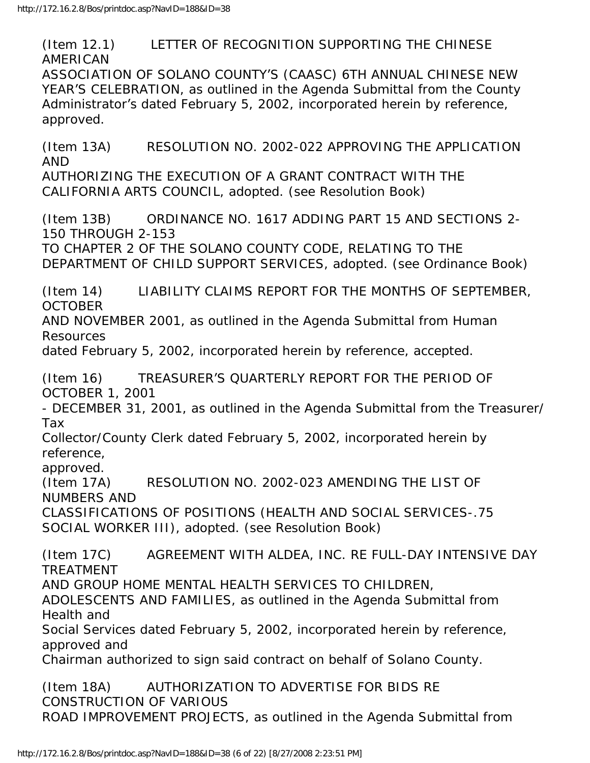(Item 12.1) LETTER OF RECOGNITION SUPPORTING THE CHINESE AMERICAN ASSOCIATION OF SOLANO COUNTY'S (CAASC) 6TH ANNUAL CHINESE NEW YEAR'S CELEBRATION, as outlined in the Agenda Submittal from the County Administrator's dated February 5, 2002, incorporated herein by reference, approved. (Item 13A) RESOLUTION NO. 2002-022 APPROVING THE APPLICATION AND AUTHORIZING THE EXECUTION OF A GRANT CONTRACT WITH THE CALIFORNIA ARTS COUNCIL, adopted. (see Resolution Book) (Item 13B) ORDINANCE NO. 1617 ADDING PART 15 AND SECTIONS 2- 150 THROUGH 2-153 TO CHAPTER 2 OF THE SOLANO COUNTY CODE, RELATING TO THE DEPARTMENT OF CHILD SUPPORT SERVICES, adopted. (see Ordinance Book) (Item 14) LIABILITY CLAIMS REPORT FOR THE MONTHS OF SEPTEMBER, **OCTOBER** AND NOVEMBER 2001, as outlined in the Agenda Submittal from Human Resources dated February 5, 2002, incorporated herein by reference, accepted. (Item 16) TREASURER'S QUARTERLY REPORT FOR THE PERIOD OF OCTOBER 1, 2001 - DECEMBER 31, 2001, as outlined in the Agenda Submittal from the Treasurer/ Tax Collector/County Clerk dated February 5, 2002, incorporated herein by reference, approved. (Item 17A) RESOLUTION NO. 2002-023 AMENDING THE LIST OF NUMBERS AND CLASSIFICATIONS OF POSITIONS (HEALTH AND SOCIAL SERVICES-.75 SOCIAL WORKER III), adopted. (see Resolution Book) (Item 17C) AGREEMENT WITH ALDEA, INC. RE FULL-DAY INTENSIVE DAY TREATMENT AND GROUP HOME MENTAL HEALTH SERVICES TO CHILDREN, ADOLESCENTS AND FAMILIES, as outlined in the Agenda Submittal from Health and Social Services dated February 5, 2002, incorporated herein by reference, approved and Chairman authorized to sign said contract on behalf of Solano County. (Item 18A) AUTHORIZATION TO ADVERTISE FOR BIDS RE CONSTRUCTION OF VARIOUS

ROAD IMPROVEMENT PROJECTS, as outlined in the Agenda Submittal from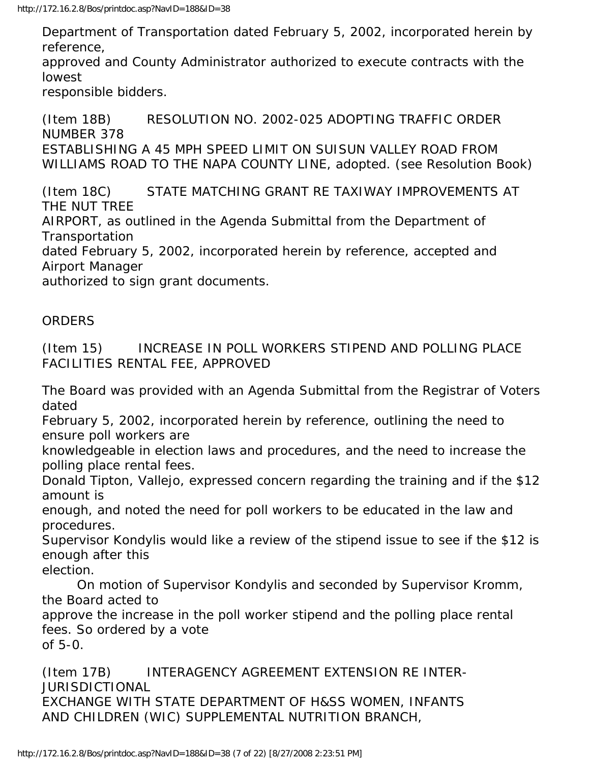Department of Transportation dated February 5, 2002, incorporated herein by reference,

approved and County Administrator authorized to execute contracts with the lowest

responsible bidders.

(Item 18B) RESOLUTION NO. 2002-025 ADOPTING TRAFFIC ORDER NUMBER 378 ESTABLISHING A 45 MPH SPEED LIMIT ON SUISUN VALLEY ROAD FROM WILLIAMS ROAD TO THE NAPA COUNTY LINE, adopted. (see Resolution Book)

(Item 18C) STATE MATCHING GRANT RE TAXIWAY IMPROVEMENTS AT THE NUT TREE

AIRPORT, as outlined in the Agenda Submittal from the Department of **Transportation** 

dated February 5, 2002, incorporated herein by reference, accepted and Airport Manager

authorized to sign grant documents.

## **ORDERS**

(Item 15) INCREASE IN POLL WORKERS STIPEND AND POLLING PLACE FACILITIES RENTAL FEE, APPROVED

The Board was provided with an Agenda Submittal from the Registrar of Voters dated

February 5, 2002, incorporated herein by reference, outlining the need to ensure poll workers are

knowledgeable in election laws and procedures, and the need to increase the polling place rental fees.

Donald Tipton, Vallejo, expressed concern regarding the training and if the \$12 amount is

enough, and noted the need for poll workers to be educated in the law and procedures.

Supervisor Kondylis would like a review of the stipend issue to see if the \$12 is enough after this

election.

 On motion of Supervisor Kondylis and seconded by Supervisor Kromm, the Board acted to

approve the increase in the poll worker stipend and the polling place rental fees. So ordered by a vote of 5-0.

(Item 17B) INTERAGENCY AGREEMENT EXTENSION RE INTER-JURISDICTIONAL EXCHANGE WITH STATE DEPARTMENT OF H&SS WOMEN, INFANTS AND CHILDREN (WIC) SUPPLEMENTAL NUTRITION BRANCH,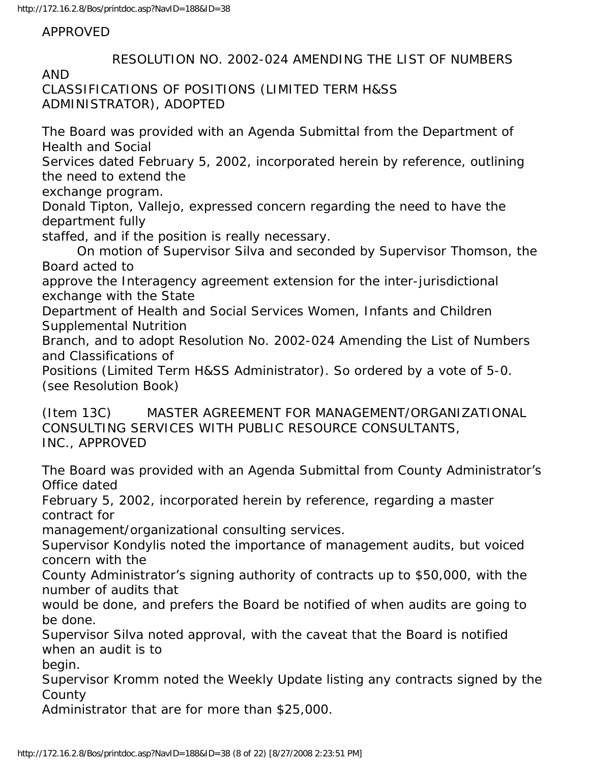APPROVED

 RESOLUTION NO. 2002-024 AMENDING THE LIST OF NUMBERS AND CLASSIFICATIONS OF POSITIONS (LIMITED TERM H&SS ADMINISTRATOR), ADOPTED The Board was provided with an Agenda Submittal from the Department of Health and Social Services dated February 5, 2002, incorporated herein by reference, outlining the need to extend the exchange program. Donald Tipton, Vallejo, expressed concern regarding the need to have the department fully staffed, and if the position is really necessary. On motion of Supervisor Silva and seconded by Supervisor Thomson, the Board acted to approve the Interagency agreement extension for the inter-jurisdictional exchange with the State Department of Health and Social Services Women, Infants and Children Supplemental Nutrition Branch, and to adopt Resolution No. 2002-024 Amending the List of Numbers and Classifications of Positions (Limited Term H&SS Administrator). So ordered by a vote of 5-0. (see Resolution Book) (Item 13C) MASTER AGREEMENT FOR MANAGEMENT/ORGANIZATIONAL CONSULTING SERVICES WITH PUBLIC RESOURCE CONSULTANTS, INC., APPROVED The Board was provided with an Agenda Submittal from County Administrator's Office dated February 5, 2002, incorporated herein by reference, regarding a master contract for management/organizational consulting services. Supervisor Kondylis noted the importance of management audits, but voiced concern with the County Administrator's signing authority of contracts up to \$50,000, with the number of audits that would be done, and prefers the Board be notified of when audits are going to be done. Supervisor Silva noted approval, with the caveat that the Board is notified when an audit is to begin. Supervisor Kromm noted the Weekly Update listing any contracts signed by the County Administrator that are for more than \$25,000.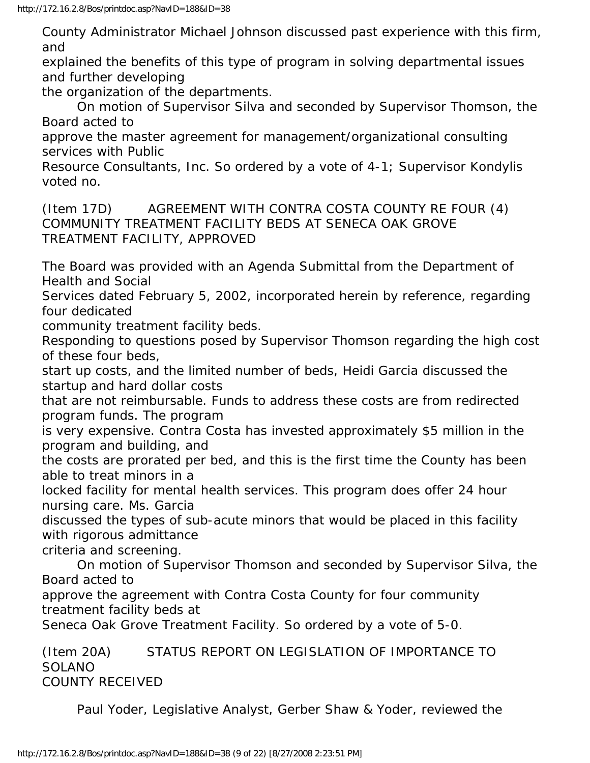County Administrator Michael Johnson discussed past experience with this firm, and

explained the benefits of this type of program in solving departmental issues and further developing

the organization of the departments.

 On motion of Supervisor Silva and seconded by Supervisor Thomson, the Board acted to

approve the master agreement for management/organizational consulting services with Public

Resource Consultants, Inc. So ordered by a vote of 4-1; Supervisor Kondylis voted no.

(Item 17D) AGREEMENT WITH CONTRA COSTA COUNTY RE FOUR (4) COMMUNITY TREATMENT FACILITY BEDS AT SENECA OAK GROVE TREATMENT FACILITY, APPROVED

The Board was provided with an Agenda Submittal from the Department of Health and Social

Services dated February 5, 2002, incorporated herein by reference, regarding four dedicated

community treatment facility beds.

Responding to questions posed by Supervisor Thomson regarding the high cost of these four beds,

start up costs, and the limited number of beds, Heidi Garcia discussed the startup and hard dollar costs

that are not reimbursable. Funds to address these costs are from redirected program funds. The program

is very expensive. Contra Costa has invested approximately \$5 million in the program and building, and

the costs are prorated per bed, and this is the first time the County has been able to treat minors in a

locked facility for mental health services. This program does offer 24 hour nursing care. Ms. Garcia

discussed the types of sub-acute minors that would be placed in this facility with rigorous admittance

criteria and screening.

 On motion of Supervisor Thomson and seconded by Supervisor Silva, the Board acted to

approve the agreement with Contra Costa County for four community treatment facility beds at

Seneca Oak Grove Treatment Facility. So ordered by a vote of 5-0.

(Item 20A) STATUS REPORT ON LEGISLATION OF IMPORTANCE TO SOLANO COUNTY RECEIVED

Paul Yoder, Legislative Analyst, Gerber Shaw & Yoder, reviewed the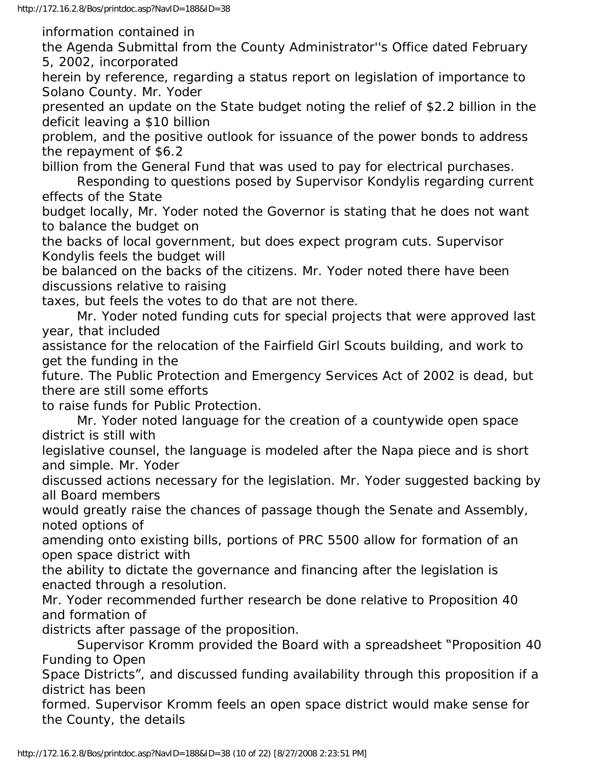information contained in

the Agenda Submittal from the County Administrator''s Office dated February 5, 2002, incorporated

herein by reference, regarding a status report on legislation of importance to Solano County. Mr. Yoder

presented an update on the State budget noting the relief of \$2.2 billion in the deficit leaving a \$10 billion

problem, and the positive outlook for issuance of the power bonds to address the repayment of \$6.2

billion from the General Fund that was used to pay for electrical purchases.

 Responding to questions posed by Supervisor Kondylis regarding current effects of the State

budget locally, Mr. Yoder noted the Governor is stating that he does not want to balance the budget on

the backs of local government, but does expect program cuts. Supervisor Kondylis feels the budget will

be balanced on the backs of the citizens. Mr. Yoder noted there have been discussions relative to raising

taxes, but feels the votes to do that are not there.

 Mr. Yoder noted funding cuts for special projects that were approved last year, that included

assistance for the relocation of the Fairfield Girl Scouts building, and work to get the funding in the

future. The Public Protection and Emergency Services Act of 2002 is dead, but there are still some efforts

to raise funds for Public Protection.

 Mr. Yoder noted language for the creation of a countywide open space district is still with

legislative counsel, the language is modeled after the Napa piece and is short and simple. Mr. Yoder

discussed actions necessary for the legislation. Mr. Yoder suggested backing by all Board members

would greatly raise the chances of passage though the Senate and Assembly, noted options of

amending onto existing bills, portions of PRC 5500 allow for formation of an open space district with

the ability to dictate the governance and financing after the legislation is enacted through a resolution.

Mr. Yoder recommended further research be done relative to Proposition 40 and formation of

districts after passage of the proposition.

 Supervisor Kromm provided the Board with a spreadsheet "Proposition 40 Funding to Open

Space Districts", and discussed funding availability through this proposition if a district has been

formed. Supervisor Kromm feels an open space district would make sense for the County, the details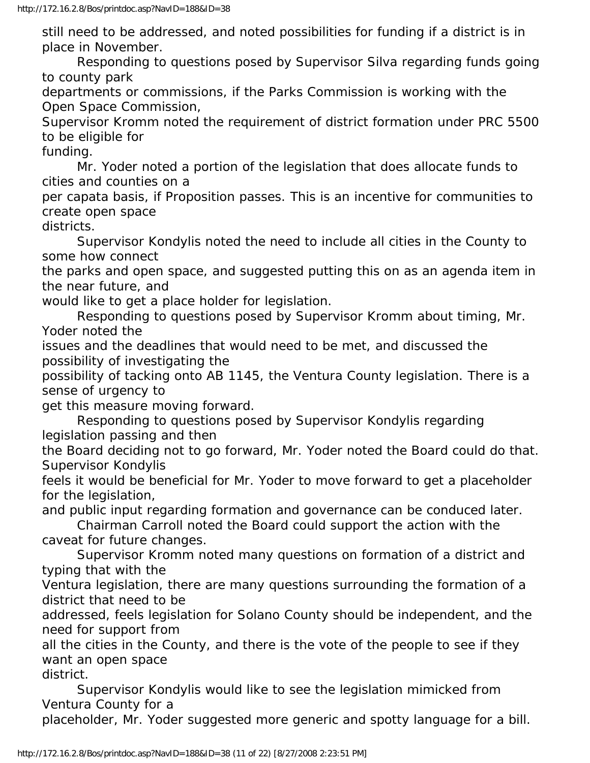still need to be addressed, and noted possibilities for funding if a district is in place in November.

 Responding to questions posed by Supervisor Silva regarding funds going to county park

departments or commissions, if the Parks Commission is working with the Open Space Commission,

Supervisor Kromm noted the requirement of district formation under PRC 5500 to be eligible for

funding.

 Mr. Yoder noted a portion of the legislation that does allocate funds to cities and counties on a

per capata basis, if Proposition passes. This is an incentive for communities to create open space

districts.

 Supervisor Kondylis noted the need to include all cities in the County to some how connect

the parks and open space, and suggested putting this on as an agenda item in the near future, and

would like to get a place holder for legislation.

 Responding to questions posed by Supervisor Kromm about timing, Mr. Yoder noted the

issues and the deadlines that would need to be met, and discussed the possibility of investigating the

possibility of tacking onto AB 1145, the Ventura County legislation. There is a sense of urgency to

get this measure moving forward.

 Responding to questions posed by Supervisor Kondylis regarding legislation passing and then

the Board deciding not to go forward, Mr. Yoder noted the Board could do that. Supervisor Kondylis

feels it would be beneficial for Mr. Yoder to move forward to get a placeholder for the legislation,

and public input regarding formation and governance can be conduced later.

 Chairman Carroll noted the Board could support the action with the caveat for future changes.

 Supervisor Kromm noted many questions on formation of a district and typing that with the

Ventura legislation, there are many questions surrounding the formation of a district that need to be

addressed, feels legislation for Solano County should be independent, and the need for support from

all the cities in the County, and there is the vote of the people to see if they want an open space

district.

 Supervisor Kondylis would like to see the legislation mimicked from Ventura County for a

placeholder, Mr. Yoder suggested more generic and spotty language for a bill.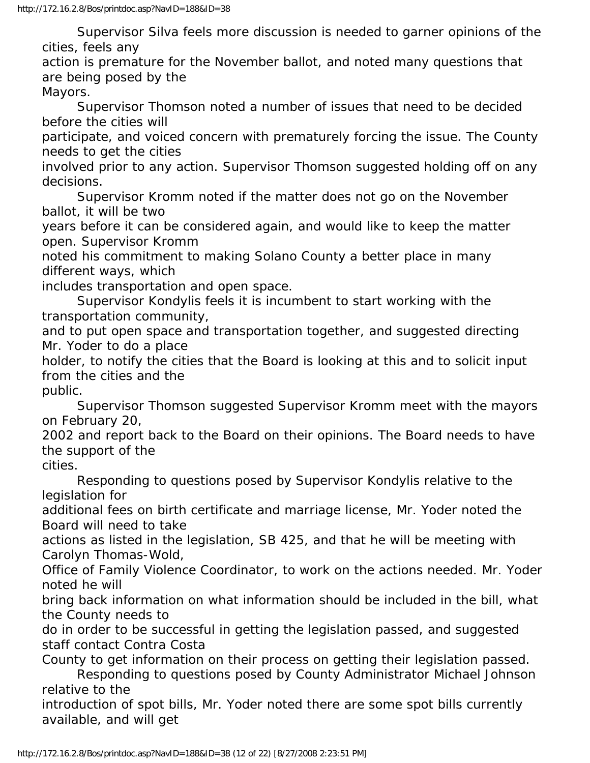Supervisor Silva feels more discussion is needed to garner opinions of the cities, feels any

action is premature for the November ballot, and noted many questions that are being posed by the

Mayors.

 Supervisor Thomson noted a number of issues that need to be decided before the cities will

participate, and voiced concern with prematurely forcing the issue. The County needs to get the cities

involved prior to any action. Supervisor Thomson suggested holding off on any decisions.

 Supervisor Kromm noted if the matter does not go on the November ballot, it will be two

years before it can be considered again, and would like to keep the matter open. Supervisor Kromm

noted his commitment to making Solano County a better place in many different ways, which

includes transportation and open space.

 Supervisor Kondylis feels it is incumbent to start working with the transportation community,

and to put open space and transportation together, and suggested directing Mr. Yoder to do a place

holder, to notify the cities that the Board is looking at this and to solicit input from the cities and the public.

 Supervisor Thomson suggested Supervisor Kromm meet with the mayors on February 20,

2002 and report back to the Board on their opinions. The Board needs to have the support of the

cities.

 Responding to questions posed by Supervisor Kondylis relative to the legislation for

additional fees on birth certificate and marriage license, Mr. Yoder noted the Board will need to take

actions as listed in the legislation, SB 425, and that he will be meeting with Carolyn Thomas-Wold,

Office of Family Violence Coordinator, to work on the actions needed. Mr. Yoder noted he will

bring back information on what information should be included in the bill, what the County needs to

do in order to be successful in getting the legislation passed, and suggested staff contact Contra Costa

County to get information on their process on getting their legislation passed.

 Responding to questions posed by County Administrator Michael Johnson relative to the

introduction of spot bills, Mr. Yoder noted there are some spot bills currently available, and will get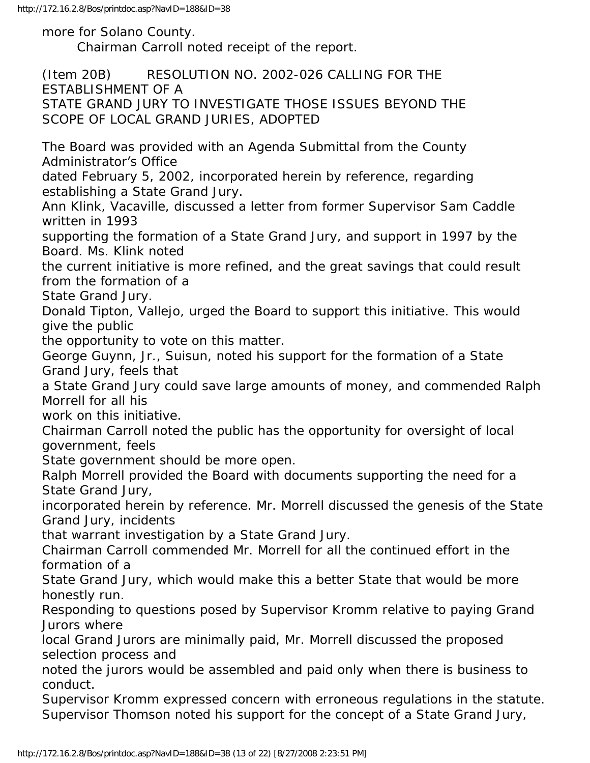http://172.16.2.8/Bos/printdoc.asp?NavID=188&ID=38

more for Solano County. Chairman Carroll noted receipt of the report.

(Item 20B) RESOLUTION NO. 2002-026 CALLING FOR THE ESTABLISHMENT OF A

STATE GRAND JURY TO INVESTIGATE THOSE ISSUES BEYOND THE SCOPE OF LOCAL GRAND JURIES, ADOPTED

The Board was provided with an Agenda Submittal from the County Administrator's Office

dated February 5, 2002, incorporated herein by reference, regarding establishing a State Grand Jury.

Ann Klink, Vacaville, discussed a letter from former Supervisor Sam Caddle written in 1993

supporting the formation of a State Grand Jury, and support in 1997 by the Board. Ms. Klink noted

the current initiative is more refined, and the great savings that could result from the formation of a

State Grand Jury.

Donald Tipton, Vallejo, urged the Board to support this initiative. This would give the public

the opportunity to vote on this matter.

George Guynn, Jr., Suisun, noted his support for the formation of a State Grand Jury, feels that

a State Grand Jury could save large amounts of money, and commended Ralph Morrell for all his

work on this initiative.

Chairman Carroll noted the public has the opportunity for oversight of local government, feels

State government should be more open.

Ralph Morrell provided the Board with documents supporting the need for a State Grand Jury,

incorporated herein by reference. Mr. Morrell discussed the genesis of the State Grand Jury, incidents

that warrant investigation by a State Grand Jury.

Chairman Carroll commended Mr. Morrell for all the continued effort in the formation of a

State Grand Jury, which would make this a better State that would be more honestly run.

Responding to questions posed by Supervisor Kromm relative to paying Grand Jurors where

local Grand Jurors are minimally paid, Mr. Morrell discussed the proposed selection process and

noted the jurors would be assembled and paid only when there is business to conduct.

Supervisor Kromm expressed concern with erroneous regulations in the statute. Supervisor Thomson noted his support for the concept of a State Grand Jury,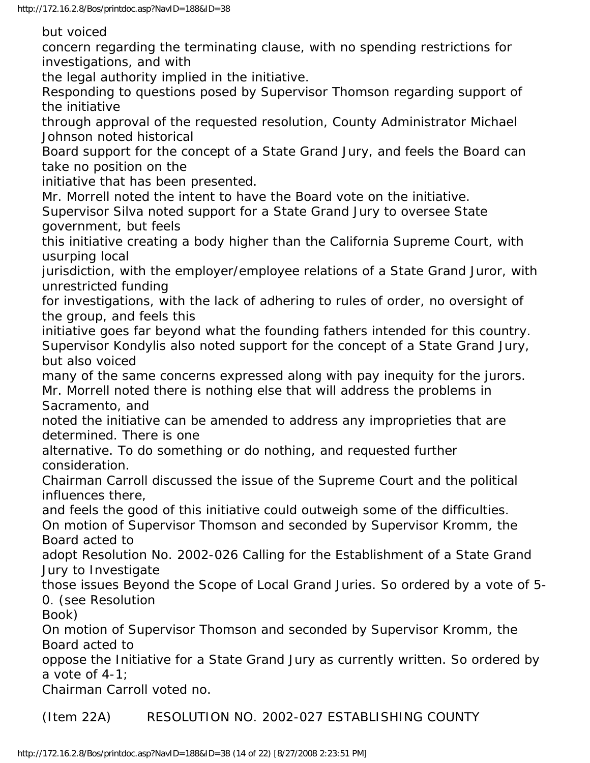but voiced

concern regarding the terminating clause, with no spending restrictions for investigations, and with

the legal authority implied in the initiative.

Responding to questions posed by Supervisor Thomson regarding support of the initiative

through approval of the requested resolution, County Administrator Michael Johnson noted historical

Board support for the concept of a State Grand Jury, and feels the Board can take no position on the

initiative that has been presented.

Mr. Morrell noted the intent to have the Board vote on the initiative. Supervisor Silva noted support for a State Grand Jury to oversee State government, but feels

this initiative creating a body higher than the California Supreme Court, with usurping local

jurisdiction, with the employer/employee relations of a State Grand Juror, with unrestricted funding

for investigations, with the lack of adhering to rules of order, no oversight of the group, and feels this

initiative goes far beyond what the founding fathers intended for this country. Supervisor Kondylis also noted support for the concept of a State Grand Jury, but also voiced

many of the same concerns expressed along with pay inequity for the jurors.

Mr. Morrell noted there is nothing else that will address the problems in Sacramento, and

noted the initiative can be amended to address any improprieties that are determined. There is one

alternative. To do something or do nothing, and requested further consideration.

Chairman Carroll discussed the issue of the Supreme Court and the political influences there,

and feels the good of this initiative could outweigh some of the difficulties. On motion of Supervisor Thomson and seconded by Supervisor Kromm, the

Board acted to

adopt Resolution No. 2002-026 Calling for the Establishment of a State Grand Jury to Investigate

those issues Beyond the Scope of Local Grand Juries. So ordered by a vote of 5- 0. (see Resolution

Book)

On motion of Supervisor Thomson and seconded by Supervisor Kromm, the Board acted to

oppose the Initiative for a State Grand Jury as currently written. So ordered by a vote of 4-1;

Chairman Carroll voted no.

(Item 22A) RESOLUTION NO. 2002-027 ESTABLISHING COUNTY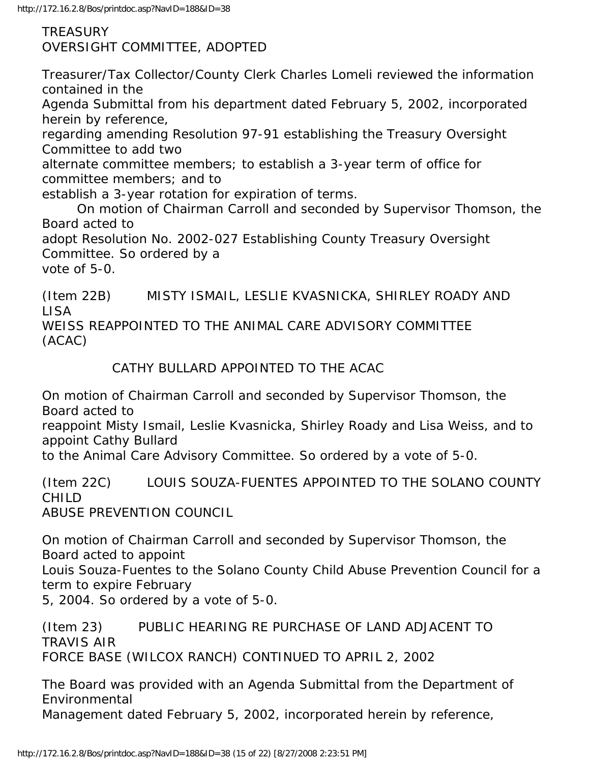TREASURY OVERSIGHT COMMITTEE, ADOPTED

Treasurer/Tax Collector/County Clerk Charles Lomeli reviewed the information contained in the

Agenda Submittal from his department dated February 5, 2002, incorporated herein by reference,

regarding amending Resolution 97-91 establishing the Treasury Oversight Committee to add two

alternate committee members; to establish a 3-year term of office for committee members; and to

establish a 3-year rotation for expiration of terms.

 On motion of Chairman Carroll and seconded by Supervisor Thomson, the Board acted to

adopt Resolution No. 2002-027 Establishing County Treasury Oversight Committee. So ordered by a

vote of 5-0.

(Item 22B) MISTY ISMAIL, LESLIE KVASNICKA, SHIRLEY ROADY AND LISA WEISS REAPPOINTED TO THE ANIMAL CARE ADVISORY COMMITTEE (ACAC)

CATHY BULLARD APPOINTED TO THE ACAC

On motion of Chairman Carroll and seconded by Supervisor Thomson, the Board acted to

reappoint Misty Ismail, Leslie Kvasnicka, Shirley Roady and Lisa Weiss, and to appoint Cathy Bullard

to the Animal Care Advisory Committee. So ordered by a vote of 5-0.

(Item 22C) LOUIS SOUZA-FUENTES APPOINTED TO THE SOLANO COUNTY CHILD

ABUSE PREVENTION COUNCIL

On motion of Chairman Carroll and seconded by Supervisor Thomson, the Board acted to appoint

Louis Souza-Fuentes to the Solano County Child Abuse Prevention Council for a term to expire February

5, 2004. So ordered by a vote of 5-0.

(Item 23) PUBLIC HEARING RE PURCHASE OF LAND ADJACENT TO TRAVIS AIR FORCE BASE (WILCOX RANCH) CONTINUED TO APRIL 2, 2002

The Board was provided with an Agenda Submittal from the Department of Environmental Management dated February 5, 2002, incorporated herein by reference,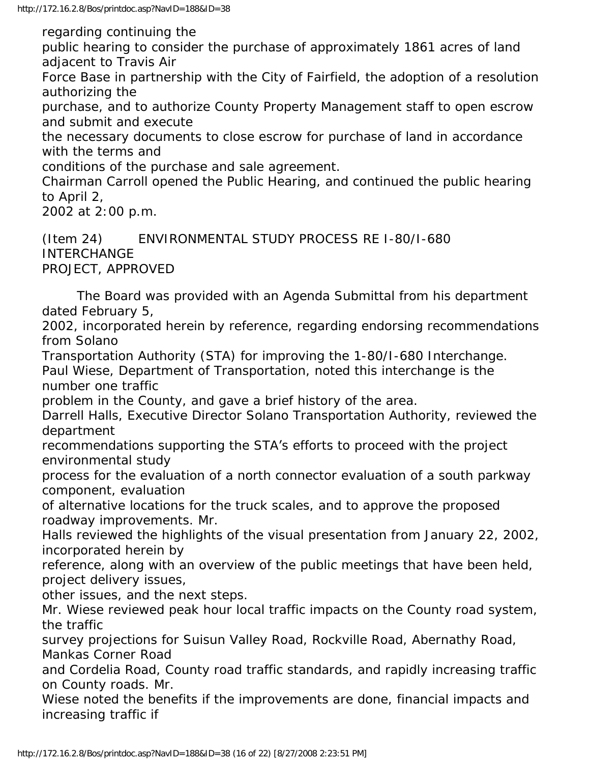regarding continuing the public hearing to consider the purchase of approximately 1861 acres of land adjacent to Travis Air Force Base in partnership with the City of Fairfield, the adoption of a resolution authorizing the purchase, and to authorize County Property Management staff to open escrow and submit and execute the necessary documents to close escrow for purchase of land in accordance with the terms and conditions of the purchase and sale agreement. Chairman Carroll opened the Public Hearing, and continued the public hearing to April 2, 2002 at 2:00 p.m.

(Item 24) ENVIRONMENTAL STUDY PROCESS RE I-80/I-680 INTERCHANGE PROJECT, APPROVED

 The Board was provided with an Agenda Submittal from his department dated February 5,

2002, incorporated herein by reference, regarding endorsing recommendations from Solano

Transportation Authority (STA) for improving the 1-80/I-680 Interchange. Paul Wiese, Department of Transportation, noted this interchange is the number one traffic

problem in the County, and gave a brief history of the area.

Darrell Halls, Executive Director Solano Transportation Authority, reviewed the department

recommendations supporting the STA's efforts to proceed with the project environmental study

process for the evaluation of a north connector evaluation of a south parkway component, evaluation

of alternative locations for the truck scales, and to approve the proposed roadway improvements. Mr.

Halls reviewed the highlights of the visual presentation from January 22, 2002, incorporated herein by

reference, along with an overview of the public meetings that have been held, project delivery issues,

other issues, and the next steps.

Mr. Wiese reviewed peak hour local traffic impacts on the County road system, the traffic

survey projections for Suisun Valley Road, Rockville Road, Abernathy Road, Mankas Corner Road

and Cordelia Road, County road traffic standards, and rapidly increasing traffic on County roads. Mr.

Wiese noted the benefits if the improvements are done, financial impacts and increasing traffic if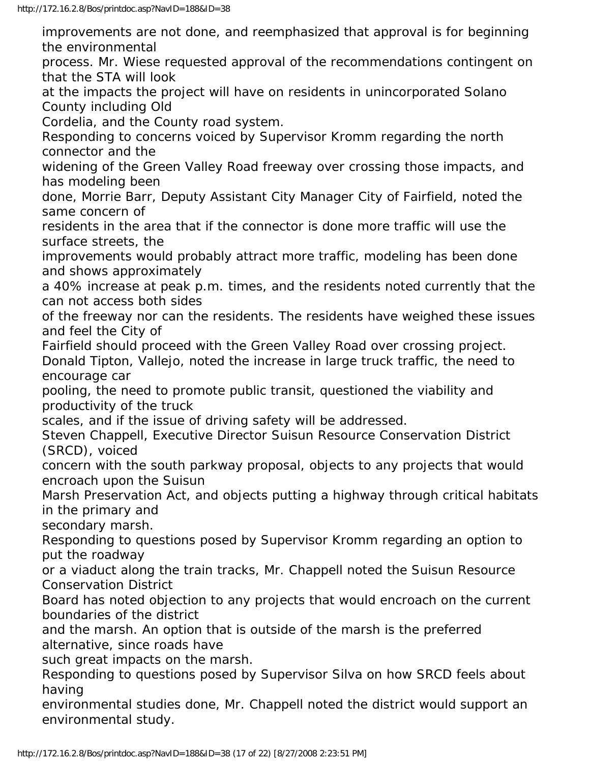improvements are not done, and reemphasized that approval is for beginning the environmental process. Mr. Wiese requested approval of the recommendations contingent on that the STA will look at the impacts the project will have on residents in unincorporated Solano County including Old Cordelia, and the County road system. Responding to concerns voiced by Supervisor Kromm regarding the north connector and the widening of the Green Valley Road freeway over crossing those impacts, and has modeling been done, Morrie Barr, Deputy Assistant City Manager City of Fairfield, noted the same concern of residents in the area that if the connector is done more traffic will use the surface streets, the improvements would probably attract more traffic, modeling has been done and shows approximately a 40% increase at peak p.m. times, and the residents noted currently that the can not access both sides of the freeway nor can the residents. The residents have weighed these issues and feel the City of Fairfield should proceed with the Green Valley Road over crossing project. Donald Tipton, Vallejo, noted the increase in large truck traffic, the need to encourage car pooling, the need to promote public transit, questioned the viability and productivity of the truck scales, and if the issue of driving safety will be addressed. Steven Chappell, Executive Director Suisun Resource Conservation District (SRCD), voiced concern with the south parkway proposal, objects to any projects that would encroach upon the Suisun Marsh Preservation Act, and objects putting a highway through critical habitats in the primary and secondary marsh. Responding to questions posed by Supervisor Kromm regarding an option to put the roadway or a viaduct along the train tracks, Mr. Chappell noted the Suisun Resource Conservation District Board has noted objection to any projects that would encroach on the current boundaries of the district and the marsh. An option that is outside of the marsh is the preferred alternative, since roads have

such great impacts on the marsh.

Responding to questions posed by Supervisor Silva on how SRCD feels about having

environmental studies done, Mr. Chappell noted the district would support an environmental study.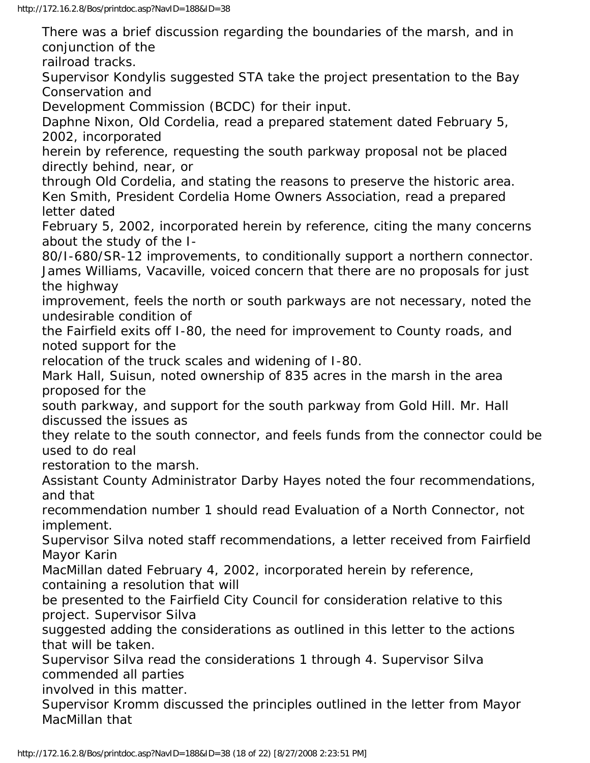There was a brief discussion regarding the boundaries of the marsh, and in conjunction of the railroad tracks.

Supervisor Kondylis suggested STA take the project presentation to the Bay Conservation and

Development Commission (BCDC) for their input.

Daphne Nixon, Old Cordelia, read a prepared statement dated February 5, 2002, incorporated

herein by reference, requesting the south parkway proposal not be placed directly behind, near, or

through Old Cordelia, and stating the reasons to preserve the historic area. Ken Smith, President Cordelia Home Owners Association, read a prepared letter dated

February 5, 2002, incorporated herein by reference, citing the many concerns about the study of the I-

80/I-680/SR-12 improvements, to conditionally support a northern connector. James Williams, Vacaville, voiced concern that there are no proposals for just the highway

improvement, feels the north or south parkways are not necessary, noted the undesirable condition of

the Fairfield exits off I-80, the need for improvement to County roads, and noted support for the

relocation of the truck scales and widening of I-80.

Mark Hall, Suisun, noted ownership of 835 acres in the marsh in the area proposed for the

south parkway, and support for the south parkway from Gold Hill. Mr. Hall discussed the issues as

they relate to the south connector, and feels funds from the connector could be used to do real

restoration to the marsh.

Assistant County Administrator Darby Hayes noted the four recommendations, and that

recommendation number 1 should read Evaluation of a North Connector, not implement.

Supervisor Silva noted staff recommendations, a letter received from Fairfield Mayor Karin

MacMillan dated February 4, 2002, incorporated herein by reference, containing a resolution that will

be presented to the Fairfield City Council for consideration relative to this project. Supervisor Silva

suggested adding the considerations as outlined in this letter to the actions that will be taken.

Supervisor Silva read the considerations 1 through 4. Supervisor Silva commended all parties

involved in this matter.

Supervisor Kromm discussed the principles outlined in the letter from Mayor MacMillan that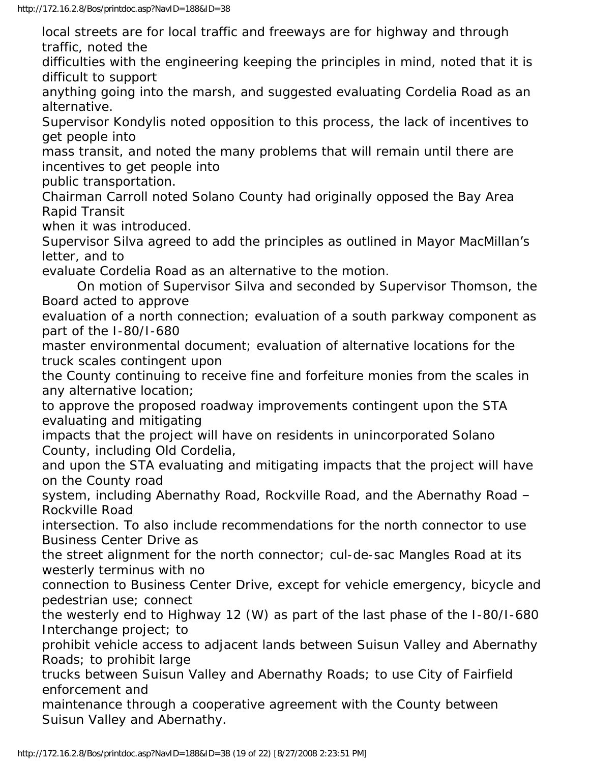local streets are for local traffic and freeways are for highway and through traffic, noted the

difficulties with the engineering keeping the principles in mind, noted that it is difficult to support

anything going into the marsh, and suggested evaluating Cordelia Road as an alternative.

Supervisor Kondylis noted opposition to this process, the lack of incentives to get people into

mass transit, and noted the many problems that will remain until there are incentives to get people into

public transportation.

Chairman Carroll noted Solano County had originally opposed the Bay Area Rapid Transit

when it was introduced.

Supervisor Silva agreed to add the principles as outlined in Mayor MacMillan's letter, and to

evaluate Cordelia Road as an alternative to the motion.

 On motion of Supervisor Silva and seconded by Supervisor Thomson, the Board acted to approve

evaluation of a north connection; evaluation of a south parkway component as part of the I-80/I-680

master environmental document; evaluation of alternative locations for the truck scales contingent upon

the County continuing to receive fine and forfeiture monies from the scales in any alternative location;

to approve the proposed roadway improvements contingent upon the STA evaluating and mitigating

impacts that the project will have on residents in unincorporated Solano County, including Old Cordelia,

and upon the STA evaluating and mitigating impacts that the project will have on the County road

system, including Abernathy Road, Rockville Road, and the Abernathy Road – Rockville Road

intersection. To also include recommendations for the north connector to use Business Center Drive as

the street alignment for the north connector; cul-de-sac Mangles Road at its westerly terminus with no

connection to Business Center Drive, except for vehicle emergency, bicycle and pedestrian use; connect

the westerly end to Highway 12 (W) as part of the last phase of the I-80/I-680 Interchange project; to

prohibit vehicle access to adjacent lands between Suisun Valley and Abernathy Roads; to prohibit large

trucks between Suisun Valley and Abernathy Roads; to use City of Fairfield enforcement and

maintenance through a cooperative agreement with the County between Suisun Valley and Abernathy.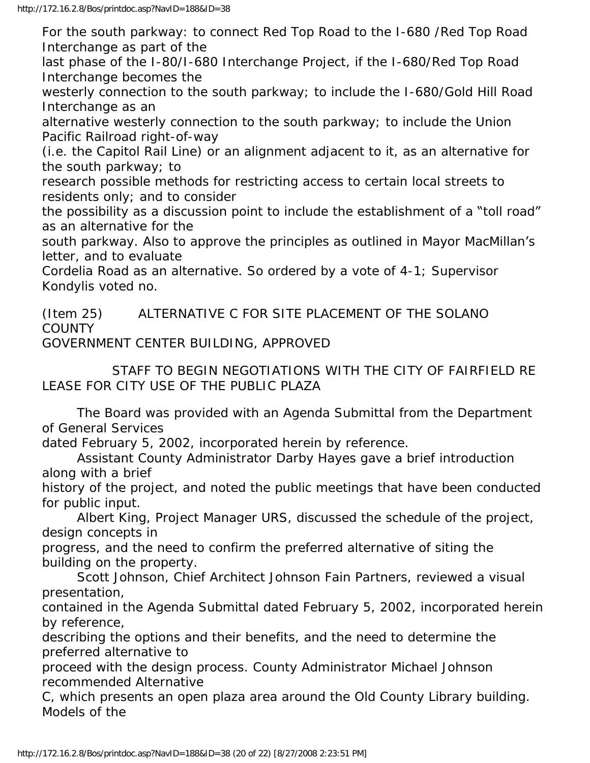For the south parkway: to connect Red Top Road to the I-680 /Red Top Road Interchange as part of the

last phase of the I-80/I-680 Interchange Project, if the I-680/Red Top Road Interchange becomes the

westerly connection to the south parkway; to include the I-680/Gold Hill Road Interchange as an

alternative westerly connection to the south parkway; to include the Union Pacific Railroad right-of-way

(i.e. the Capitol Rail Line) or an alignment adjacent to it, as an alternative for the south parkway; to

research possible methods for restricting access to certain local streets to residents only; and to consider

the possibility as a discussion point to include the establishment of a "toll road" as an alternative for the

south parkway. Also to approve the principles as outlined in Mayor MacMillan's letter, and to evaluate

Cordelia Road as an alternative. So ordered by a vote of 4-1; Supervisor Kondylis voted no.

(Item 25) ALTERNATIVE C FOR SITE PLACEMENT OF THE SOLANO **COUNTY** GOVERNMENT CENTER BUILDING, APPROVED

 STAFF TO BEGIN NEGOTIATIONS WITH THE CITY OF FAIRFIELD RE LEASE FOR CITY USE OF THE PUBLIC PLAZA

 The Board was provided with an Agenda Submittal from the Department of General Services

dated February 5, 2002, incorporated herein by reference.

 Assistant County Administrator Darby Hayes gave a brief introduction along with a brief

history of the project, and noted the public meetings that have been conducted for public input.

 Albert King, Project Manager URS, discussed the schedule of the project, design concepts in

progress, and the need to confirm the preferred alternative of siting the building on the property.

 Scott Johnson, Chief Architect Johnson Fain Partners, reviewed a visual presentation,

contained in the Agenda Submittal dated February 5, 2002, incorporated herein by reference,

describing the options and their benefits, and the need to determine the preferred alternative to

proceed with the design process. County Administrator Michael Johnson recommended Alternative

C, which presents an open plaza area around the Old County Library building. Models of the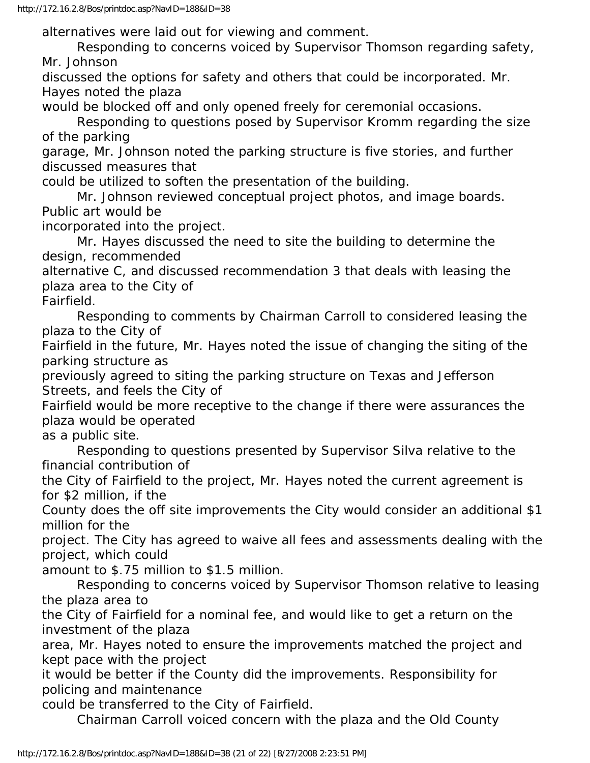alternatives were laid out for viewing and comment.

 Responding to concerns voiced by Supervisor Thomson regarding safety, Mr. Johnson

discussed the options for safety and others that could be incorporated. Mr. Hayes noted the plaza

would be blocked off and only opened freely for ceremonial occasions.

 Responding to questions posed by Supervisor Kromm regarding the size of the parking

garage, Mr. Johnson noted the parking structure is five stories, and further discussed measures that

could be utilized to soften the presentation of the building.

 Mr. Johnson reviewed conceptual project photos, and image boards. Public art would be

incorporated into the project.

 Mr. Hayes discussed the need to site the building to determine the design, recommended

alternative C, and discussed recommendation 3 that deals with leasing the plaza area to the City of

Fairfield.

 Responding to comments by Chairman Carroll to considered leasing the plaza to the City of

Fairfield in the future, Mr. Hayes noted the issue of changing the siting of the parking structure as

previously agreed to siting the parking structure on Texas and Jefferson Streets, and feels the City of

Fairfield would be more receptive to the change if there were assurances the plaza would be operated

as a public site.

 Responding to questions presented by Supervisor Silva relative to the financial contribution of

the City of Fairfield to the project, Mr. Hayes noted the current agreement is for \$2 million, if the

County does the off site improvements the City would consider an additional \$1 million for the

project. The City has agreed to waive all fees and assessments dealing with the project, which could

amount to \$.75 million to \$1.5 million.

 Responding to concerns voiced by Supervisor Thomson relative to leasing the plaza area to

the City of Fairfield for a nominal fee, and would like to get a return on the investment of the plaza

area, Mr. Hayes noted to ensure the improvements matched the project and kept pace with the project

it would be better if the County did the improvements. Responsibility for policing and maintenance

could be transferred to the City of Fairfield.

Chairman Carroll voiced concern with the plaza and the Old County